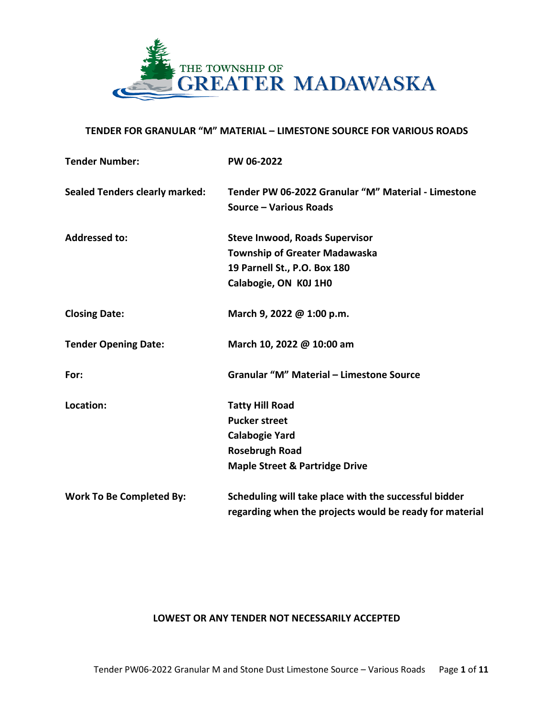

## **TENDER FOR GRANULAR "M" MATERIAL – LIMESTONE SOURCE FOR VARIOUS ROADS**

| <b>Tender Number:</b>                 | PW 06-2022                                                                                                                                    |
|---------------------------------------|-----------------------------------------------------------------------------------------------------------------------------------------------|
| <b>Sealed Tenders clearly marked:</b> | Tender PW 06-2022 Granular "M" Material - Limestone<br>Source - Various Roads                                                                 |
| <b>Addressed to:</b>                  | <b>Steve Inwood, Roads Supervisor</b><br><b>Township of Greater Madawaska</b><br>19 Parnell St., P.O. Box 180<br>Calabogie, ON K0J 1H0        |
| <b>Closing Date:</b>                  | March 9, 2022 @ 1:00 p.m.                                                                                                                     |
| <b>Tender Opening Date:</b>           | March 10, 2022 @ 10:00 am                                                                                                                     |
| For:                                  | Granular "M" Material - Limestone Source                                                                                                      |
| Location:                             | <b>Tatty Hill Road</b><br><b>Pucker street</b><br><b>Calabogie Yard</b><br><b>Rosebrugh Road</b><br><b>Maple Street &amp; Partridge Drive</b> |
| <b>Work To Be Completed By:</b>       | Scheduling will take place with the successful bidder<br>regarding when the projects would be ready for material                              |

## **LOWEST OR ANY TENDER NOT NECESSARILY ACCEPTED**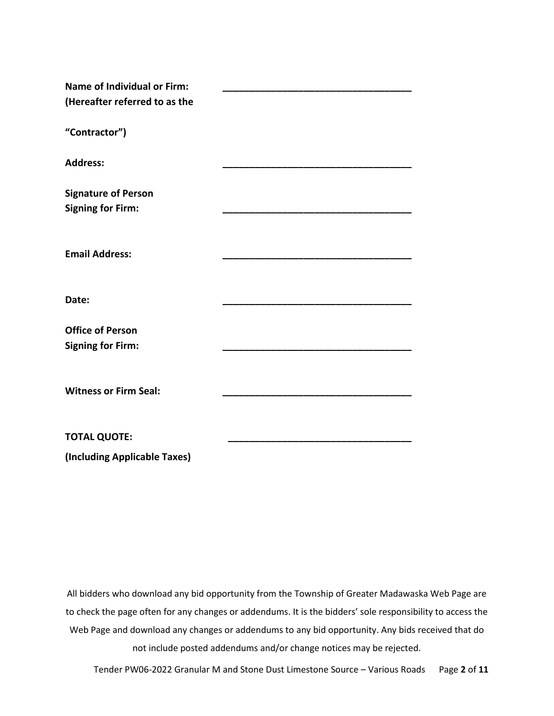| <b>Name of Individual or Firm:</b> |  |
|------------------------------------|--|
| (Hereafter referred to as the      |  |
| "Contractor")                      |  |
| <b>Address:</b>                    |  |
| <b>Signature of Person</b>         |  |
| <b>Signing for Firm:</b>           |  |
|                                    |  |
| <b>Email Address:</b>              |  |
|                                    |  |
| Date:                              |  |
| <b>Office of Person</b>            |  |
| <b>Signing for Firm:</b>           |  |
|                                    |  |
| <b>Witness or Firm Seal:</b>       |  |
|                                    |  |
| <b>TOTAL QUOTE:</b>                |  |

**(Including Applicable Taxes)**

All bidders who download any bid opportunity from the Township of Greater Madawaska Web Page are to check the page often for any changes or addendums. It is the bidders' sole responsibility to access the Web Page and download any changes or addendums to any bid opportunity. Any bids received that do not include posted addendums and/or change notices may be rejected.

Tender PW06-2022 Granular M and Stone Dust Limestone Source – Various Roads Page **2** of **11**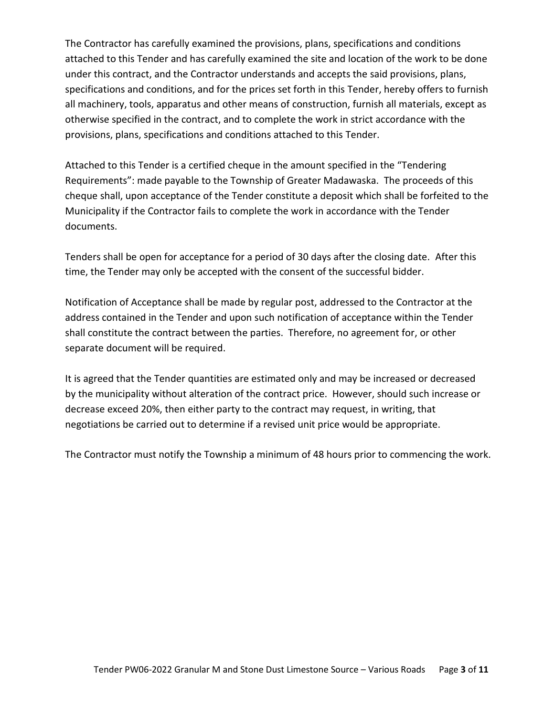The Contractor has carefully examined the provisions, plans, specifications and conditions attached to this Tender and has carefully examined the site and location of the work to be done under this contract, and the Contractor understands and accepts the said provisions, plans, specifications and conditions, and for the prices set forth in this Tender, hereby offers to furnish all machinery, tools, apparatus and other means of construction, furnish all materials, except as otherwise specified in the contract, and to complete the work in strict accordance with the provisions, plans, specifications and conditions attached to this Tender.

Attached to this Tender is a certified cheque in the amount specified in the "Tendering Requirements": made payable to the Township of Greater Madawaska. The proceeds of this cheque shall, upon acceptance of the Tender constitute a deposit which shall be forfeited to the Municipality if the Contractor fails to complete the work in accordance with the Tender documents.

Tenders shall be open for acceptance for a period of 30 days after the closing date. After this time, the Tender may only be accepted with the consent of the successful bidder.

Notification of Acceptance shall be made by regular post, addressed to the Contractor at the address contained in the Tender and upon such notification of acceptance within the Tender shall constitute the contract between the parties. Therefore, no agreement for, or other separate document will be required.

It is agreed that the Tender quantities are estimated only and may be increased or decreased by the municipality without alteration of the contract price. However, should such increase or decrease exceed 20%, then either party to the contract may request, in writing, that negotiations be carried out to determine if a revised unit price would be appropriate.

The Contractor must notify the Township a minimum of 48 hours prior to commencing the work.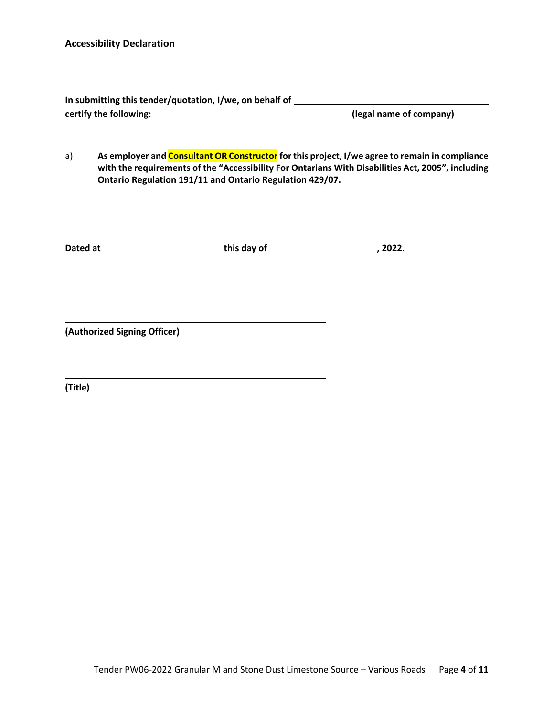| In submitting this tender/quotation, I/we, on behalf of |                         |
|---------------------------------------------------------|-------------------------|
| certify the following:                                  | (legal name of company) |

a) **As employer and Consultant OR Constructor for this project, I/we agree to remain in compliance with the requirements of the "Accessibility For Ontarians With Disabilities Act, 2005", including Ontario Regulation 191/11 and Ontario Regulation 429/07.**

**Dated at this day of , 2022.**

**(Authorized Signing Officer)**

**(Title)**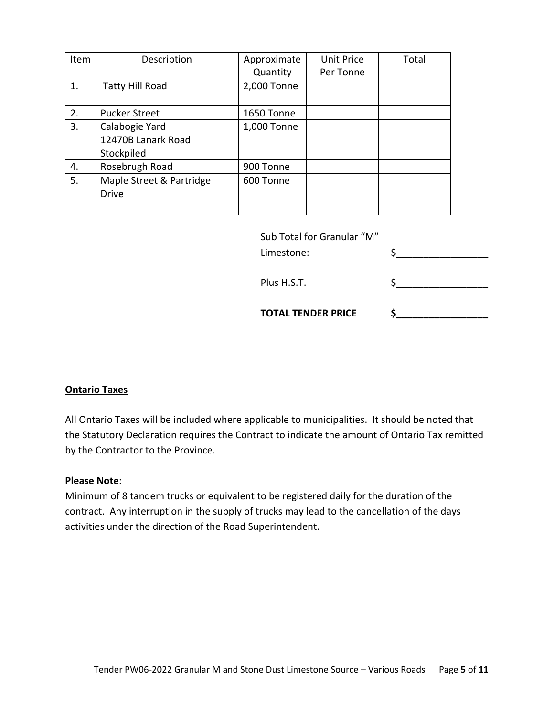| Item | Description              | Approximate | Unit Price | Total |
|------|--------------------------|-------------|------------|-------|
|      |                          | Quantity    | Per Tonne  |       |
| 1.   | <b>Tatty Hill Road</b>   | 2,000 Tonne |            |       |
|      |                          |             |            |       |
| 2.   | <b>Pucker Street</b>     | 1650 Tonne  |            |       |
| 3.   | Calabogie Yard           | 1,000 Tonne |            |       |
|      | 12470B Lanark Road       |             |            |       |
|      | Stockpiled               |             |            |       |
| 4.   | Rosebrugh Road           | 900 Tonne   |            |       |
| 5.   | Maple Street & Partridge | 600 Tonne   |            |       |
|      | <b>Drive</b>             |             |            |       |
|      |                          |             |            |       |

| Sub Total for Granular "M" |  |
|----------------------------|--|
| Limestone:                 |  |

Plus H.S.T.  $\zeta$ 

**TOTAL TENDER PRICE \$\_\_\_\_\_\_\_\_\_\_\_\_\_\_\_\_\_**

## **Ontario Taxes**

All Ontario Taxes will be included where applicable to municipalities. It should be noted that the Statutory Declaration requires the Contract to indicate the amount of Ontario Tax remitted by the Contractor to the Province.

#### **Please Note**:

Minimum of 8 tandem trucks or equivalent to be registered daily for the duration of the contract. Any interruption in the supply of trucks may lead to the cancellation of the days activities under the direction of the Road Superintendent.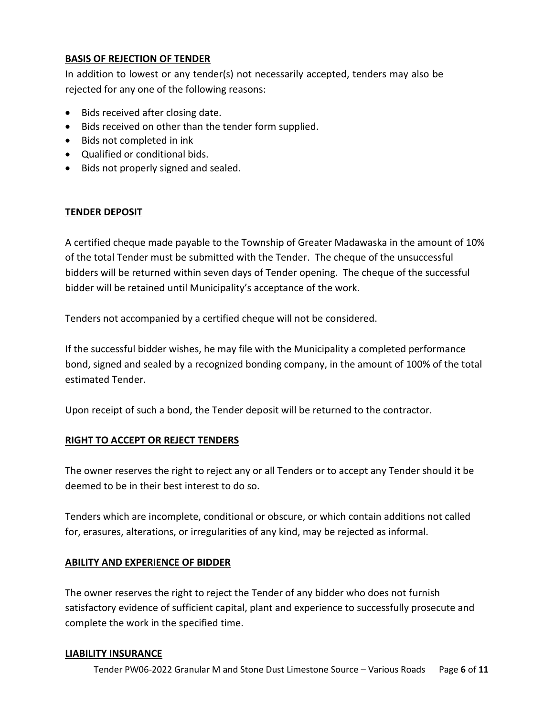## **BASIS OF REJECTION OF TENDER**

In addition to lowest or any tender(s) not necessarily accepted, tenders may also be rejected for any one of the following reasons:

- Bids received after closing date.
- Bids received on other than the tender form supplied.
- Bids not completed in ink
- Qualified or conditional bids.
- Bids not properly signed and sealed.

## **TENDER DEPOSIT**

A certified cheque made payable to the Township of Greater Madawaska in the amount of 10% of the total Tender must be submitted with the Tender. The cheque of the unsuccessful bidders will be returned within seven days of Tender opening. The cheque of the successful bidder will be retained until Municipality's acceptance of the work.

Tenders not accompanied by a certified cheque will not be considered.

If the successful bidder wishes, he may file with the Municipality a completed performance bond, signed and sealed by a recognized bonding company, in the amount of 100% of the total estimated Tender.

Upon receipt of such a bond, the Tender deposit will be returned to the contractor.

## **RIGHT TO ACCEPT OR REJECT TENDERS**

The owner reserves the right to reject any or all Tenders or to accept any Tender should it be deemed to be in their best interest to do so.

Tenders which are incomplete, conditional or obscure, or which contain additions not called for, erasures, alterations, or irregularities of any kind, may be rejected as informal.

# **ABILITY AND EXPERIENCE OF BIDDER**

The owner reserves the right to reject the Tender of any bidder who does not furnish satisfactory evidence of sufficient capital, plant and experience to successfully prosecute and complete the work in the specified time.

## **LIABILITY INSURANCE**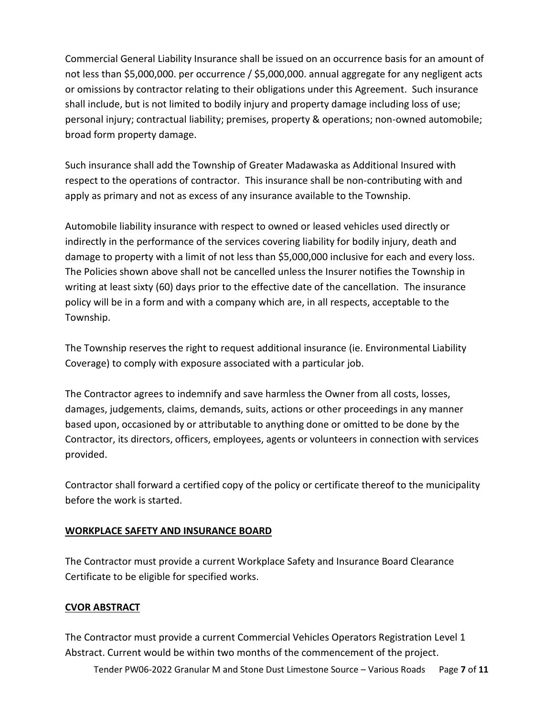Commercial General Liability Insurance shall be issued on an occurrence basis for an amount of not less than \$5,000,000. per occurrence / \$5,000,000. annual aggregate for any negligent acts or omissions by contractor relating to their obligations under this Agreement. Such insurance shall include, but is not limited to bodily injury and property damage including loss of use; personal injury; contractual liability; premises, property & operations; non-owned automobile; broad form property damage.

Such insurance shall add the Township of Greater Madawaska as Additional Insured with respect to the operations of contractor. This insurance shall be non-contributing with and apply as primary and not as excess of any insurance available to the Township.

Automobile liability insurance with respect to owned or leased vehicles used directly or indirectly in the performance of the services covering liability for bodily injury, death and damage to property with a limit of not less than \$5,000,000 inclusive for each and every loss. The Policies shown above shall not be cancelled unless the Insurer notifies the Township in writing at least sixty (60) days prior to the effective date of the cancellation. The insurance policy will be in a form and with a company which are, in all respects, acceptable to the Township.

The Township reserves the right to request additional insurance (ie. Environmental Liability Coverage) to comply with exposure associated with a particular job.

The Contractor agrees to indemnify and save harmless the Owner from all costs, losses, damages, judgements, claims, demands, suits, actions or other proceedings in any manner based upon, occasioned by or attributable to anything done or omitted to be done by the Contractor, its directors, officers, employees, agents or volunteers in connection with services provided.

Contractor shall forward a certified copy of the policy or certificate thereof to the municipality before the work is started.

# **WORKPLACE SAFETY AND INSURANCE BOARD**

The Contractor must provide a current Workplace Safety and Insurance Board Clearance Certificate to be eligible for specified works.

# **CVOR ABSTRACT**

The Contractor must provide a current Commercial Vehicles Operators Registration Level 1 Abstract. Current would be within two months of the commencement of the project.

Tender PW06-2022 Granular M and Stone Dust Limestone Source – Various Roads Page **7** of **11**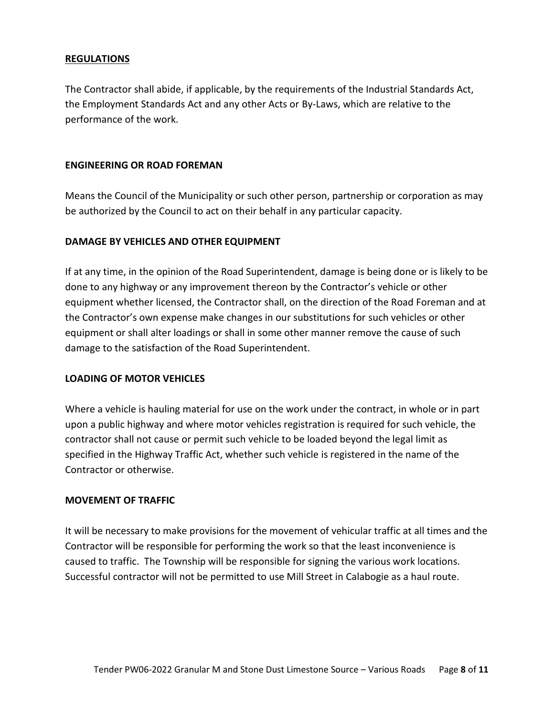## **REGULATIONS**

The Contractor shall abide, if applicable, by the requirements of the Industrial Standards Act, the Employment Standards Act and any other Acts or By-Laws, which are relative to the performance of the work.

#### **ENGINEERING OR ROAD FOREMAN**

Means the Council of the Municipality or such other person, partnership or corporation as may be authorized by the Council to act on their behalf in any particular capacity.

## **DAMAGE BY VEHICLES AND OTHER EQUIPMENT**

If at any time, in the opinion of the Road Superintendent, damage is being done or is likely to be done to any highway or any improvement thereon by the Contractor's vehicle or other equipment whether licensed, the Contractor shall, on the direction of the Road Foreman and at the Contractor's own expense make changes in our substitutions for such vehicles or other equipment or shall alter loadings or shall in some other manner remove the cause of such damage to the satisfaction of the Road Superintendent.

## **LOADING OF MOTOR VEHICLES**

Where a vehicle is hauling material for use on the work under the contract, in whole or in part upon a public highway and where motor vehicles registration is required for such vehicle, the contractor shall not cause or permit such vehicle to be loaded beyond the legal limit as specified in the Highway Traffic Act, whether such vehicle is registered in the name of the Contractor or otherwise.

#### **MOVEMENT OF TRAFFIC**

It will be necessary to make provisions for the movement of vehicular traffic at all times and the Contractor will be responsible for performing the work so that the least inconvenience is caused to traffic. The Township will be responsible for signing the various work locations. Successful contractor will not be permitted to use Mill Street in Calabogie as a haul route.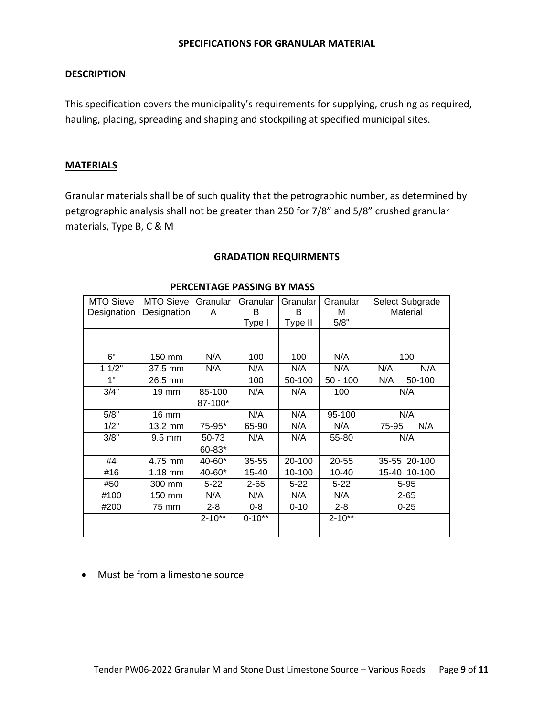#### **SPECIFICATIONS FOR GRANULAR MATERIAL**

#### **DESCRIPTION**

This specification covers the municipality's requirements for supplying, crushing as required, hauling, placing, spreading and shaping and stockpiling at specified municipal sites.

#### **MATERIALS**

Granular materials shall be of such quality that the petrographic number, as determined by petgrographic analysis shall not be greater than 250 for 7/8" and 5/8" crushed granular materials, Type B, C & M

| MTO Sieve   | MTO Sieve        | Granular<br>A | Granular<br>в | Granular<br>B | Granular<br>М | Select Subgrade<br>Material |
|-------------|------------------|---------------|---------------|---------------|---------------|-----------------------------|
| Designation | Designation      |               |               |               |               |                             |
|             |                  |               | Type I        | Type II       | 5/8"          |                             |
|             |                  |               |               |               |               |                             |
|             |                  |               |               |               |               |                             |
| 6"          | 150 mm           | N/A           | 100           | 100           | N/A           | 100                         |
| 11/2"       | 37.5 mm          | N/A           | N/A           | N/A           | N/A           | N/A<br>N/A                  |
| 1"          | 26.5 mm          |               | 100           | 50-100        | $50 - 100$    | N/A<br>50-100               |
| 3/4"        | 19 mm            | 85-100        | N/A           | N/A           | 100           | N/A                         |
|             |                  | 87-100*       |               |               |               |                             |
| 5/8"        | 16 mm            |               | N/A           | N/A           | 95-100        | N/A                         |
| 1/2"        | 13.2 mm          | 75-95*        | 65-90         | N/A           | N/A           | N/A<br>75-95                |
| 3/8"        | $9.5 \text{ mm}$ | 50-73         | N/A           | N/A           | 55-80         | N/A                         |
|             |                  | 60-83*        |               |               |               |                             |
| #4          | 4.75 mm          | 40-60*        | 35-55         | 20-100        | 20-55         | 35-55 20-100                |
| #16         | $1.18$ mm        | 40-60*        | 15-40         | 10-100        | 10-40         | 15-40 10-100                |
| #50         | 300 mm           | $5 - 22$      | $2 - 65$      | $5 - 22$      | $5 - 22$      | $5 - 95$                    |
| #100        | 150 mm           | N/A           | N/A           | N/A           | N/A           | $2 - 65$                    |
| #200        | 75 mm            | $2 - 8$       | $0 - 8$       | $0 - 10$      | $2 - 8$       | $0 - 25$                    |
|             |                  | $2 - 10**$    | $0 - 10**$    |               | $2 - 10**$    |                             |
|             |                  |               |               |               |               |                             |
|             |                  |               |               |               |               |                             |

#### **GRADATION REQUIRMENTS**

 **PERCENTAGE PASSING BY MASS**

## • Must be from a limestone source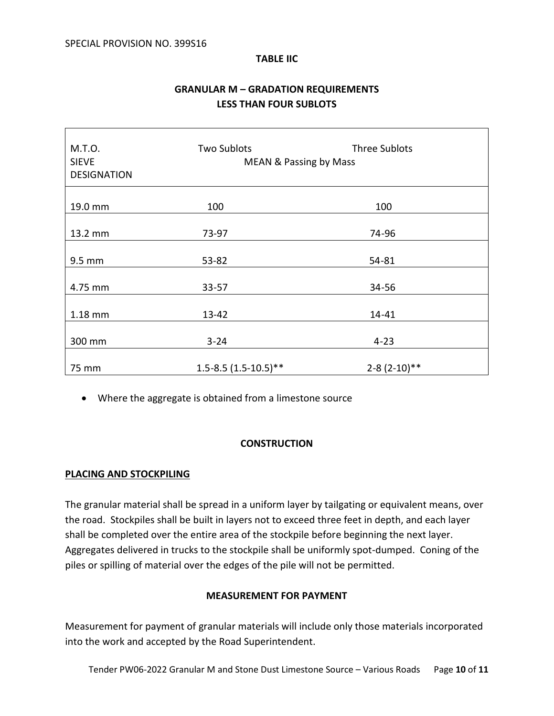#### **TABLE IIC**

# **GRANULAR M – GRADATION REQUIREMENTS LESS THAN FOUR SUBLOTS**

| M.T.O.<br><b>SIEVE</b><br><b>DESIGNATION</b> | <b>Two Sublots</b><br><b>MEAN &amp; Passing by Mass</b> | <b>Three Sublots</b> |  |
|----------------------------------------------|---------------------------------------------------------|----------------------|--|
| 19.0 mm                                      | 100                                                     | 100                  |  |
| 13.2 mm                                      | 73-97                                                   | 74-96                |  |
| 9.5 mm                                       | 53-82                                                   | 54-81                |  |
| 4.75 mm                                      | $33 - 57$                                               | 34-56                |  |
| 1.18 mm                                      | 13-42                                                   | 14-41                |  |
| 300 mm                                       | $3 - 24$                                                | $4 - 23$             |  |
| 75 mm                                        | $1.5 - 8.5(1.5 - 10.5)$ **                              | $2-8(2-10)**$        |  |

• Where the aggregate is obtained from a limestone source

## **CONSTRUCTION**

## **PLACING AND STOCKPILING**

The granular material shall be spread in a uniform layer by tailgating or equivalent means, over the road. Stockpiles shall be built in layers not to exceed three feet in depth, and each layer shall be completed over the entire area of the stockpile before beginning the next layer. Aggregates delivered in trucks to the stockpile shall be uniformly spot-dumped. Coning of the piles or spilling of material over the edges of the pile will not be permitted.

## **MEASUREMENT FOR PAYMENT**

Measurement for payment of granular materials will include only those materials incorporated into the work and accepted by the Road Superintendent.